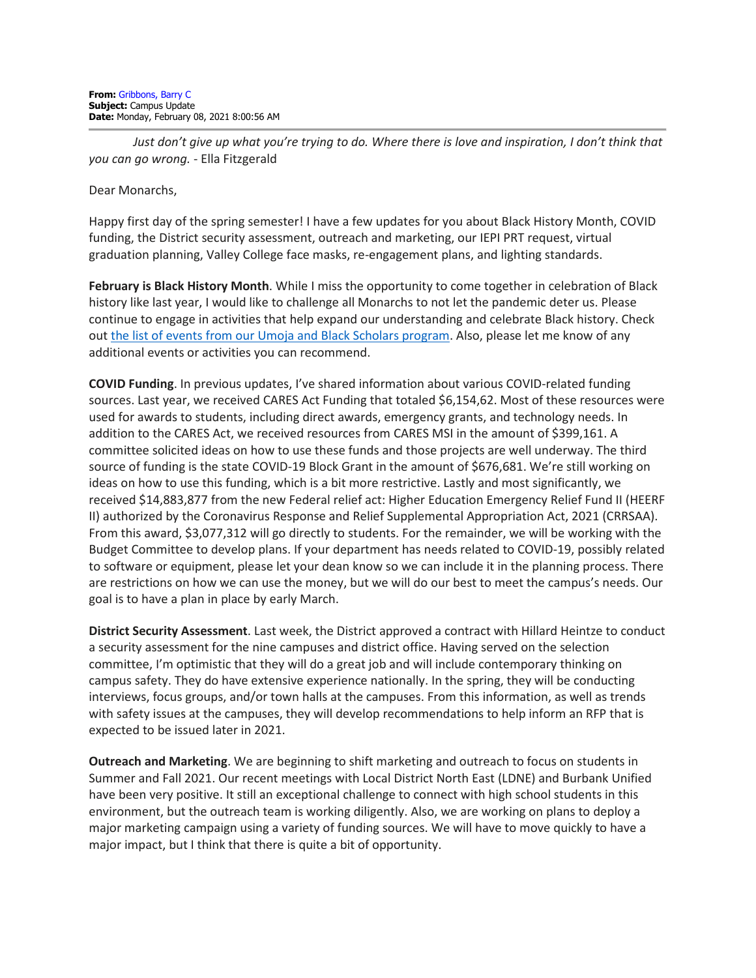Just don't give up what you're trying to do. Where there is love and inspiration, I don't think that *you can go wrong.* - Ella Fitzgerald

Dear Monarchs,

Happy first day of the spring semester! I have a few updates for you about Black History Month, COVID funding, the District security assessment, outreach and marketing, our IEPI PRT request, virtual graduation planning, Valley College face masks, re-engagement plans, and lighting standards.

**February is Black History Month**. While I miss the opportunity to come together in celebration of Black history like last year, I would like to challenge all Monarchs to not let the pandemic deter us. Please continue to engage in activities that help expand our understanding and celebrate Black history. Check out [the list of events from our Umoja and Black Scholars program.](https://lavc.edu/campusnews/index/News-Blog/February-2021/Black-History-Month-2021.aspx) Also, please let me know of any additional events or activities you can recommend.

**COVID Funding**. In previous updates, I've shared information about various COVID-related funding sources. Last year, we received CARES Act Funding that totaled \$6,154,62. Most of these resources were used for awards to students, including direct awards, emergency grants, and technology needs. In addition to the CARES Act, we received resources from CARES MSI in the amount of \$399,161. A committee solicited ideas on how to use these funds and those projects are well underway. The third source of funding is the state COVID-19 Block Grant in the amount of \$676,681. We're still working on ideas on how to use this funding, which is a bit more restrictive. Lastly and most significantly, we received \$14,883,877 from the new Federal relief act: Higher Education Emergency Relief Fund II (HEERF II) authorized by the Coronavirus Response and Relief Supplemental Appropriation Act, 2021 (CRRSAA). From this award, \$3,077,312 will go directly to students. For the remainder, we will be working with the Budget Committee to develop plans. If your department has needs related to COVID-19, possibly related to software or equipment, please let your dean know so we can include it in the planning process. There are restrictions on how we can use the money, but we will do our best to meet the campus's needs. Our goal is to have a plan in place by early March.

**District Security Assessment**. Last week, the District approved a contract with Hillard Heintze to conduct a security assessment for the nine campuses and district office. Having served on the selection committee, I'm optimistic that they will do a great job and will include contemporary thinking on campus safety. They do have extensive experience nationally. In the spring, they will be conducting interviews, focus groups, and/or town halls at the campuses. From this information, as well as trends with safety issues at the campuses, they will develop recommendations to help inform an RFP that is expected to be issued later in 2021.

**Outreach and Marketing**. We are beginning to shift marketing and outreach to focus on students in Summer and Fall 2021. Our recent meetings with Local District North East (LDNE) and Burbank Unified have been very positive. It still an exceptional challenge to connect with high school students in this environment, but the outreach team is working diligently. Also, we are working on plans to deploy a major marketing campaign using a variety of funding sources. We will have to move quickly to have a major impact, but I think that there is quite a bit of opportunity.